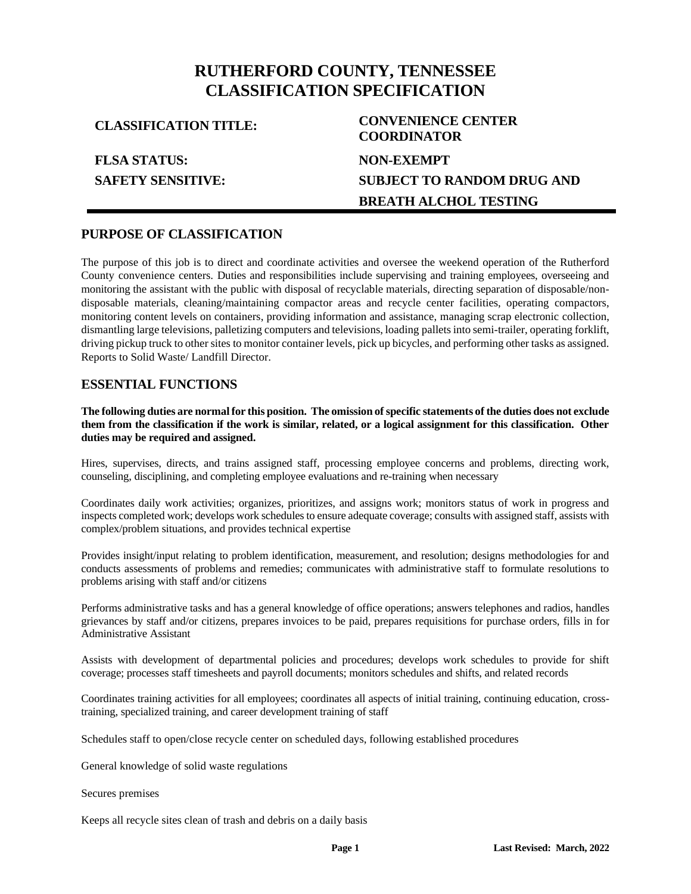# **RUTHERFORD COUNTY, TENNESSEE CLASSIFICATION SPECIFICATION**

**FLSA STATUS: SAFETY SENSITIVE:**

# **CLASSIFICATION TITLE: CONVENIENCE CENTER COORDINATOR NON-EXEMPT SUBJECT TO RANDOM DRUG AND BREATH ALCHOL TESTING**

## **PURPOSE OF CLASSIFICATION**

The purpose of this job is to direct and coordinate activities and oversee the weekend operation of the Rutherford County convenience centers. Duties and responsibilities include supervising and training employees, overseeing and monitoring the assistant with the public with disposal of recyclable materials, directing separation of disposable/nondisposable materials, cleaning/maintaining compactor areas and recycle center facilities, operating compactors, monitoring content levels on containers, providing information and assistance, managing scrap electronic collection, dismantling large televisions, palletizing computers and televisions, loading pallets into semi-trailer, operating forklift, driving pickup truck to other sites to monitor container levels, pick up bicycles, and performing other tasks as assigned. Reports to Solid Waste/ Landfill Director.

## **ESSENTIAL FUNCTIONS**

**The following duties are normal for this position. The omission of specific statements of the duties does not exclude them from the classification if the work is similar, related, or a logical assignment for this classification. Other duties may be required and assigned.**

Hires, supervises, directs, and trains assigned staff, processing employee concerns and problems, directing work, counseling, disciplining, and completing employee evaluations and re-training when necessary

Coordinates daily work activities; organizes, prioritizes, and assigns work; monitors status of work in progress and inspects completed work; develops work schedules to ensure adequate coverage; consults with assigned staff, assists with complex/problem situations, and provides technical expertise

Provides insight/input relating to problem identification, measurement, and resolution; designs methodologies for and conducts assessments of problems and remedies; communicates with administrative staff to formulate resolutions to problems arising with staff and/or citizens

Performs administrative tasks and has a general knowledge of office operations; answers telephones and radios, handles grievances by staff and/or citizens, prepares invoices to be paid, prepares requisitions for purchase orders, fills in for Administrative Assistant

Assists with development of departmental policies and procedures; develops work schedules to provide for shift coverage; processes staff timesheets and payroll documents; monitors schedules and shifts, and related records

Coordinates training activities for all employees; coordinates all aspects of initial training, continuing education, crosstraining, specialized training, and career development training of staff

Schedules staff to open/close recycle center on scheduled days, following established procedures

General knowledge of solid waste regulations

Secures premises

Keeps all recycle sites clean of trash and debris on a daily basis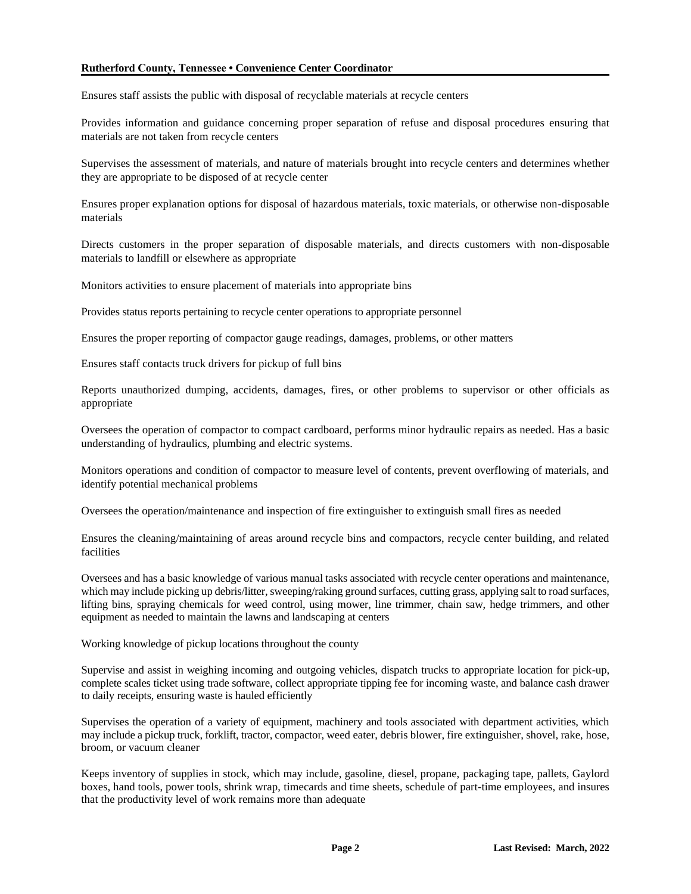## **Rutherford County, Tennessee • Convenience Center Coordinator**

Ensures staff assists the public with disposal of recyclable materials at recycle centers

Provides information and guidance concerning proper separation of refuse and disposal procedures ensuring that materials are not taken from recycle centers

Supervises the assessment of materials, and nature of materials brought into recycle centers and determines whether they are appropriate to be disposed of at recycle center

Ensures proper explanation options for disposal of hazardous materials, toxic materials, or otherwise non-disposable materials

Directs customers in the proper separation of disposable materials, and directs customers with non-disposable materials to landfill or elsewhere as appropriate

Monitors activities to ensure placement of materials into appropriate bins

Provides status reports pertaining to recycle center operations to appropriate personnel

Ensures the proper reporting of compactor gauge readings, damages, problems, or other matters

Ensures staff contacts truck drivers for pickup of full bins

Reports unauthorized dumping, accidents, damages, fires, or other problems to supervisor or other officials as appropriate

Oversees the operation of compactor to compact cardboard, performs minor hydraulic repairs as needed. Has a basic understanding of hydraulics, plumbing and electric systems.

Monitors operations and condition of compactor to measure level of contents, prevent overflowing of materials, and identify potential mechanical problems

Oversees the operation/maintenance and inspection of fire extinguisher to extinguish small fires as needed

Ensures the cleaning/maintaining of areas around recycle bins and compactors, recycle center building, and related facilities

Oversees and has a basic knowledge of various manual tasks associated with recycle center operations and maintenance, which may include picking up debris/litter, sweeping/raking ground surfaces, cutting grass, applying salt to road surfaces, lifting bins, spraying chemicals for weed control, using mower, line trimmer, chain saw, hedge trimmers, and other equipment as needed to maintain the lawns and landscaping at centers

Working knowledge of pickup locations throughout the county

Supervise and assist in weighing incoming and outgoing vehicles, dispatch trucks to appropriate location for pick-up, complete scales ticket using trade software, collect appropriate tipping fee for incoming waste, and balance cash drawer to daily receipts, ensuring waste is hauled efficiently

Supervises the operation of a variety of equipment, machinery and tools associated with department activities, which may include a pickup truck, forklift, tractor, compactor, weed eater, debris blower, fire extinguisher, shovel, rake, hose, broom, or vacuum cleaner

Keeps inventory of supplies in stock, which may include, gasoline, diesel, propane, packaging tape, pallets, Gaylord boxes, hand tools, power tools, shrink wrap, timecards and time sheets, schedule of part-time employees, and insures that the productivity level of work remains more than adequate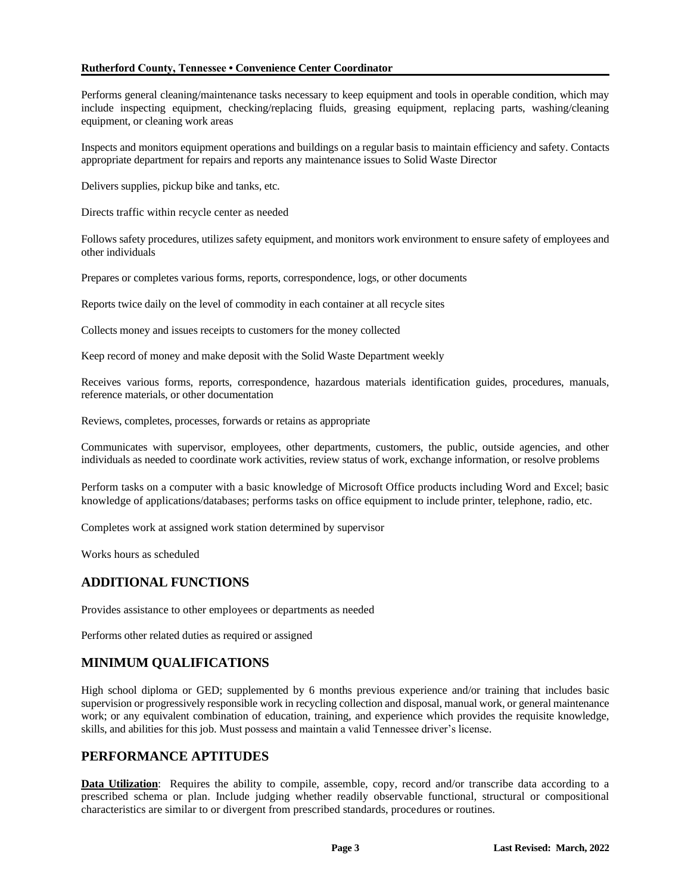#### **Rutherford County, Tennessee • Convenience Center Coordinator**

Performs general cleaning/maintenance tasks necessary to keep equipment and tools in operable condition, which may include inspecting equipment, checking/replacing fluids, greasing equipment, replacing parts, washing/cleaning equipment, or cleaning work areas

Inspects and monitors equipment operations and buildings on a regular basis to maintain efficiency and safety. Contacts appropriate department for repairs and reports any maintenance issues to Solid Waste Director

Delivers supplies, pickup bike and tanks, etc.

Directs traffic within recycle center as needed

Follows safety procedures, utilizes safety equipment, and monitors work environment to ensure safety of employees and other individuals

Prepares or completes various forms, reports, correspondence, logs, or other documents

Reports twice daily on the level of commodity in each container at all recycle sites

Collects money and issues receipts to customers for the money collected

Keep record of money and make deposit with the Solid Waste Department weekly

Receives various forms, reports, correspondence, hazardous materials identification guides, procedures, manuals, reference materials, or other documentation

Reviews, completes, processes, forwards or retains as appropriate

Communicates with supervisor, employees, other departments, customers, the public, outside agencies, and other individuals as needed to coordinate work activities, review status of work, exchange information, or resolve problems

Perform tasks on a computer with a basic knowledge of Microsoft Office products including Word and Excel; basic knowledge of applications/databases; performs tasks on office equipment to include printer, telephone, radio, etc.

Completes work at assigned work station determined by supervisor

Works hours as scheduled

## **ADDITIONAL FUNCTIONS**

Provides assistance to other employees or departments as needed

Performs other related duties as required or assigned

## **MINIMUM QUALIFICATIONS**

High school diploma or GED; supplemented by 6 months previous experience and/or training that includes basic supervision or progressively responsible work in recycling collection and disposal, manual work, or general maintenance work; or any equivalent combination of education, training, and experience which provides the requisite knowledge, skills, and abilities for this job. Must possess and maintain a valid Tennessee driver's license.

## **PERFORMANCE APTITUDES**

**Data Utilization:** Requires the ability to compile, assemble, copy, record and/or transcribe data according to a prescribed schema or plan. Include judging whether readily observable functional, structural or compositional characteristics are similar to or divergent from prescribed standards, procedures or routines.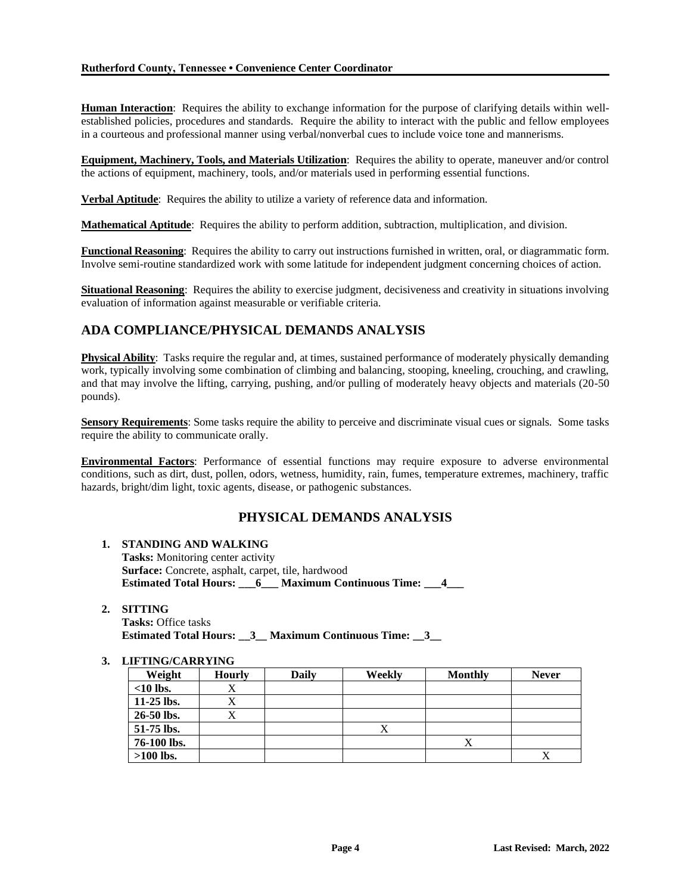#### **Rutherford County, Tennessee • Convenience Center Coordinator**

**Human Interaction**: Requires the ability to exchange information for the purpose of clarifying details within wellestablished policies, procedures and standards. Require the ability to interact with the public and fellow employees in a courteous and professional manner using verbal/nonverbal cues to include voice tone and mannerisms.

**Equipment, Machinery, Tools, and Materials Utilization**: Requires the ability to operate, maneuver and/or control the actions of equipment, machinery, tools, and/or materials used in performing essential functions.

**Verbal Aptitude**: Requires the ability to utilize a variety of reference data and information.

**Mathematical Aptitude**: Requires the ability to perform addition, subtraction, multiplication, and division.

**Functional Reasoning**: Requires the ability to carry out instructions furnished in written, oral, or diagrammatic form. Involve semi-routine standardized work with some latitude for independent judgment concerning choices of action.

**Situational Reasoning**: Requires the ability to exercise judgment, decisiveness and creativity in situations involving evaluation of information against measurable or verifiable criteria.

# **ADA COMPLIANCE/PHYSICAL DEMANDS ANALYSIS**

**Physical Ability**: Tasks require the regular and, at times, sustained performance of moderately physically demanding work, typically involving some combination of climbing and balancing, stooping, kneeling, crouching, and crawling, and that may involve the lifting, carrying, pushing, and/or pulling of moderately heavy objects and materials (20-50 pounds).

**Sensory Requirements**: Some tasks require the ability to perceive and discriminate visual cues or signals. Some tasks require the ability to communicate orally.

**Environmental Factors**: Performance of essential functions may require exposure to adverse environmental conditions, such as dirt, dust, pollen, odors, wetness, humidity, rain, fumes, temperature extremes, machinery, traffic hazards, bright/dim light, toxic agents, disease, or pathogenic substances.

## **PHYSICAL DEMANDS ANALYSIS**

## **1. STANDING AND WALKING**

**Tasks:** Monitoring center activity **Surface:** Concrete, asphalt, carpet, tile, hardwood **Estimated Total Hours: \_\_\_6\_\_\_ Maximum Continuous Time: \_\_\_4\_\_\_**

**2. SITTING**

**Tasks:** Office tasks **Estimated Total Hours: \_\_3\_\_ Maximum Continuous Time: \_\_3\_\_**

## **3. LIFTING/CARRYING**

| Weight       | <b>Hourly</b> | Daily | Weekly | <b>Monthly</b> | <b>Never</b> |
|--------------|---------------|-------|--------|----------------|--------------|
| $<$ 10 lbs.  | Δ             |       |        |                |              |
| $11-25$ lbs. | ∡             |       |        |                |              |
| 26-50 lbs.   | л             |       |        |                |              |
| 51-75 lbs.   |               |       | X      |                |              |
| 76-100 lbs.  |               |       |        | Х              |              |
| $>100$ lbs.  |               |       |        |                |              |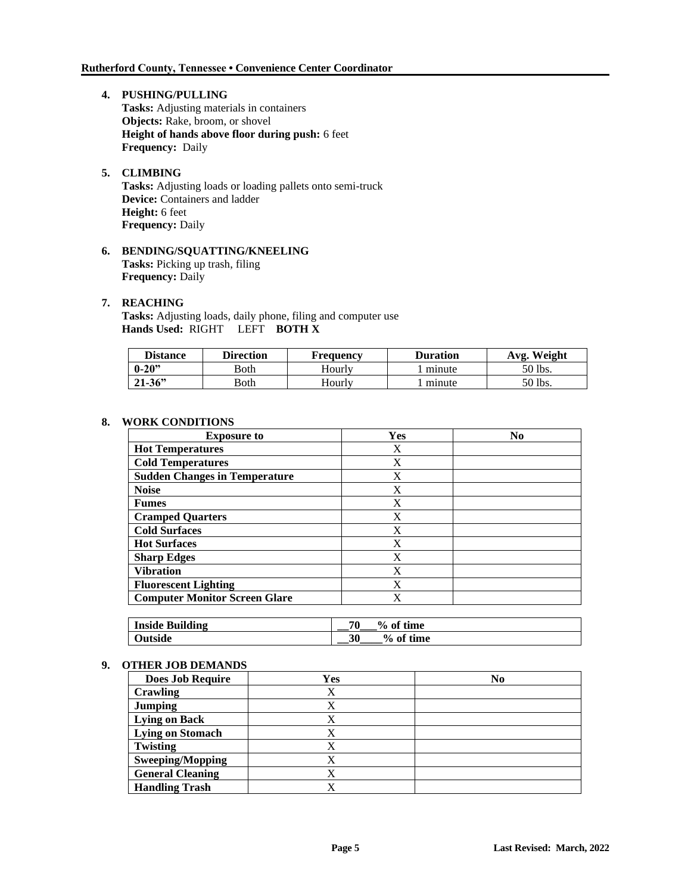**4. PUSHING/PULLING Tasks:** Adjusting materials in containers **Objects:** Rake, broom, or shovel **Height of hands above floor during push:** 6 feet **Frequency:** Daily

#### **5. CLIMBING Tasks:** Adjusting loads or loading pallets onto semi-truck **Device:** Containers and ladder **Height:** 6 feet **Frequency:** Daily

**6. BENDING/SQUATTING/KNEELING Tasks:** Picking up trash, filing **Frequency:** Daily

## **7. REACHING**

**Tasks:** Adjusting loads, daily phone, filing and computer use **Hands Used:** RIGHT LEFT **BOTH X**

| <b>Distance</b> | <b>Direction</b> | <b>Frequency</b> | <b>Duration</b> | Weight<br>Avg. |
|-----------------|------------------|------------------|-----------------|----------------|
| $0 - 20$ "      | Both             | Hourlv           | minute          | 50 lbs.        |
| $21 - 36$       | Both             | Hourlv           | minute          | 50 lbs.        |

## **8. WORK CONDITIONS**

| <b>Exposure to</b>                   | <b>Yes</b> | N <sub>0</sub> |
|--------------------------------------|------------|----------------|
| <b>Hot Temperatures</b>              | X          |                |
| <b>Cold Temperatures</b>             | X          |                |
| <b>Sudden Changes in Temperature</b> | X          |                |
| <b>Noise</b>                         | X          |                |
| <b>Fumes</b>                         | X          |                |
| <b>Cramped Quarters</b>              | X          |                |
| <b>Cold Surfaces</b>                 | X          |                |
| <b>Hot Surfaces</b>                  | X          |                |
| <b>Sharp Edges</b>                   | X          |                |
| <b>Vibration</b>                     | X          |                |
| <b>Fluorescent Lighting</b>          | X          |                |
| <b>Computer Monitor Screen Glare</b> | X          |                |

| <b>Inside Building</b> | 70<br>$\frac{0}{0}$<br>.<br>time<br>ot<br>__ |
|------------------------|----------------------------------------------|
| Jutside                | $%$ of<br>30<br><sup>e</sup> time            |

## **9. OTHER JOB DEMANDS**

| <b>Does Job Require</b> | Yes | No |
|-------------------------|-----|----|
| <b>Crawling</b>         |     |    |
| <b>Jumping</b>          |     |    |
| <b>Lying on Back</b>    |     |    |
| <b>Lying on Stomach</b> |     |    |
| Twisting                |     |    |
| <b>Sweeping/Mopping</b> |     |    |
| <b>General Cleaning</b> |     |    |
| <b>Handling Trash</b>   |     |    |